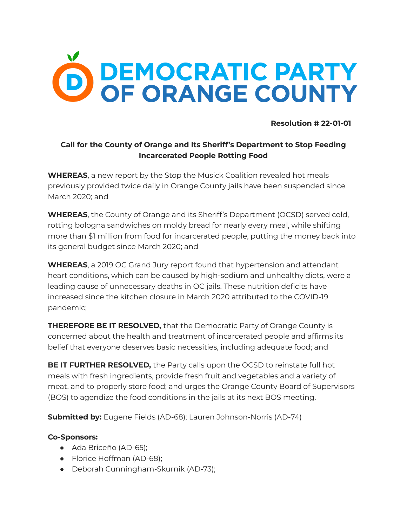

**Resolution # 22-01-01**

## **Call for the County of Orange and Its Sheriff's Department to Stop Feeding Incarcerated People Rotting Food**

**WHEREAS**, a new report by the Stop the Musick [Coalition](https://www.stopthemusick.net/reports/) revealed hot meals previously provided twice daily in Orange County jails have been suspended since March 2020; and

**WHEREAS**, the County of Orange and its Sheriff's Department (OCSD) served cold, rotting bologna sandwiches on moldy bread for nearly every meal, while shifting more than \$1 million from food for incarcerated people, putting the money back into its general budget since March 2020; and

**WHEREAS**, a 2019 OC Grand Jury report found that hypertension and attendant heart conditions, which can be caused by high-sodium and unhealthy diets, were a leading cause of unnecessary deaths in OC jails. These nutrition deficits have increased since the kitchen closure in March 2020 attributed to the COVID-19 pandemic;

**THEREFORE BE IT RESOLVED,** that the Democratic Party of Orange County is concerned about the health and treatment of incarcerated people and affirms its belief that everyone deserves basic necessities, including adequate food; and

**BE IT FURTHER RESOLVED,** the Party calls upon the OCSD to reinstate full hot meals with fresh ingredients, provide fresh fruit and vegetables and a variety of meat, and to properly store food; and urges the Orange County Board of Supervisors (BOS) to agendize the food conditions in the jails at its next BOS meeting.

**Submitted by:** Eugene Fields (AD-68); Lauren Johnson-Norris (AD-74)

## **Co-Sponsors:**

- Ada Briceño (AD-65);
- Florice Hoffman (AD-68);
- Deborah Cunningham-Skurnik (AD-73);